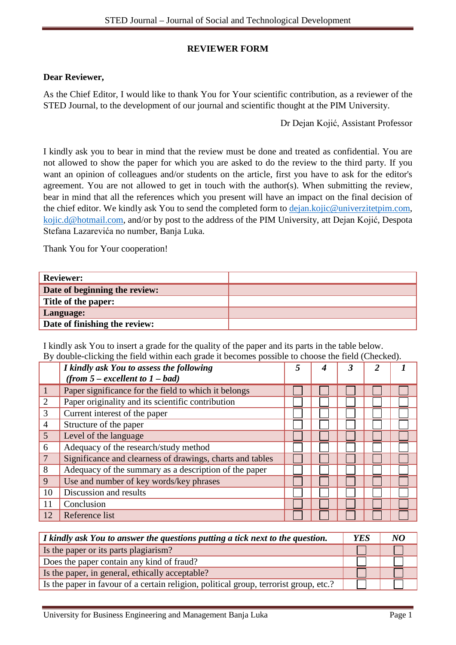## **REVIEWER FORM**

## **Dear Reviewer,**

As the Chief Editor, I would like to thank You for Your scientific contribution, as a reviewer of the STED Journal, to the development of our journal and scientific thought at the PIM University.

Dr Dejan Kojić, Assistant Professor

I kindly ask you to bear in mind that the review must be done and treated as confidential. You are not allowed to show the paper for which you are asked to do the review to the third party. If you want an opinion of colleagues and/or students on the article, first you have to ask for the editor's agreement. You are not allowed to get in touch with the author(s). When submitting the review, bear in mind that all the references which you present will have an impact on the final decision of the chief editor. We kindly ask You to send the completed form to [dejan.kojic@univerzitetpim.com,](mailto:dejan.kojic@univerzitetpim.com) [kojic.d@hotmail.com,](mailto:kojic.d@hotmail.com) and/or by post to the address of the PIM University, att Dejan Kojić, Despota Stefana Lazarevića no number, Banja Luka.

Thank You for Your cooperation!

| <b>Reviewer:</b>              |  |
|-------------------------------|--|
| Date of beginning the review: |  |
| Title of the paper:           |  |
| Language:                     |  |
| Date of finishing the review: |  |

I kindly ask You to insert a grade for the quality of the paper and its parts in the table below. By double-clicking the field within each grade it becomes possible to choose the field (Checked).

|                 | I kindly ask You to assess the following<br>(from $5$ – excellent to $1$ – bad) |  |  |  |
|-----------------|---------------------------------------------------------------------------------|--|--|--|
|                 | Paper significance for the field to which it belongs                            |  |  |  |
| $\overline{2}$  | Paper originality and its scientific contribution                               |  |  |  |
| 3               | Current interest of the paper                                                   |  |  |  |
| $\overline{4}$  | Structure of the paper                                                          |  |  |  |
| $5\overline{)}$ | Level of the language                                                           |  |  |  |
| 6               | Adequacy of the research/study method                                           |  |  |  |
|                 | Significance and clearness of drawings, charts and tables                       |  |  |  |
| 8               | Adequacy of the summary as a description of the paper                           |  |  |  |
| 9               | Use and number of key words/key phrases                                         |  |  |  |
| 10              | Discussion and results                                                          |  |  |  |
| 11              | Conclusion                                                                      |  |  |  |
| 12              | Reference list                                                                  |  |  |  |

| I kindly ask You to answer the questions putting a tick next to the question.         | <b>YES</b> |  |
|---------------------------------------------------------------------------------------|------------|--|
| Is the paper or its parts plagiarism?                                                 |            |  |
| Does the paper contain any kind of fraud?                                             |            |  |
| Is the paper, in general, ethically acceptable?                                       |            |  |
| Is the paper in favour of a certain religion, political group, terrorist group, etc.? |            |  |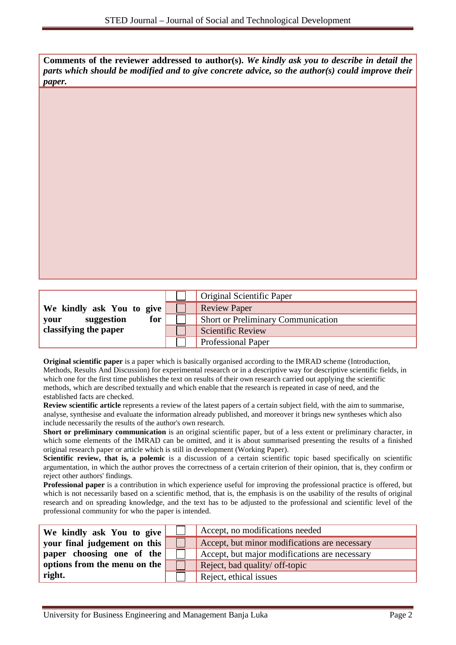**Comments of the reviewer addressed to author(s).** *We kindly ask you to describe in detail the parts which should be modified and to give concrete advice, so the author(s) could improve their paper.*

|                           | Original Scientific Paper                 |
|---------------------------|-------------------------------------------|
| We kindly ask You to give | <b>Review Paper</b>                       |
| for<br>suggestion<br>vour | <b>Short or Preliminary Communication</b> |
| classifying the paper     | Scientific Review                         |
|                           | <b>Professional Paper</b>                 |

**Original scientific paper** is a paper which is basically organised according to the IMRAD scheme (Introduction, Methods, Results And Discussion) for experimental research or in a descriptive way for descriptive scientific fields, in which one for the first time publishes the text on results of their own research carried out applying the scientific methods, which are described textually and which enable that the research is repeated in case of need, and the established facts are checked.

**Review scientific article** represents a review of the latest papers of a certain subject field, with the aim to summarise, analyse, synthesise and evaluate the information already published, and moreover it brings new syntheses which also include necessarily the results of the author's own research.

**Short or preliminary communication** is an original scientific paper, but of a less extent or preliminary character, in which some elements of the IMRAD can be omitted, and it is about summarised presenting the results of a finished original research paper or article which is still in development (Working Paper).

**Scientific review, that is, a polemic** is a discussion of a certain scientific topic based specifically on scientific argumentation, in which the author proves the correctness of a certain criterion of their opinion, that is, they confirm or reject other authors' findings.

**Professional paper** is a contribution in which experience useful for improving the professional practice is offered, but which is not necessarily based on a scientific method, that is, the emphasis is on the usability of the results of original research and on spreading knowledge, and the text has to be adjusted to the professional and scientific level of the professional community for who the paper is intended.

| We kindly ask You to give    | Accept, no modifications needed               |
|------------------------------|-----------------------------------------------|
| your final judgement on this | Accept, but minor modifications are necessary |
| paper choosing one of the    | Accept, but major modifications are necessary |
| options from the menu on the | Reject, bad quality/ off-topic                |
| right.                       | Reject, ethical issues                        |